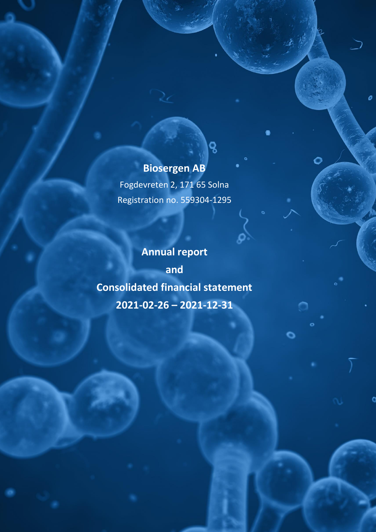# **Biosergen AB**

ó

o

ο

ဝ

Org.nr 559304-1295

Fogdevreten 2, 171 65 Solna Registration no. 559304-1295

**Annual report and Consolidated financial statement 2021-02-26 – 2021-12-31**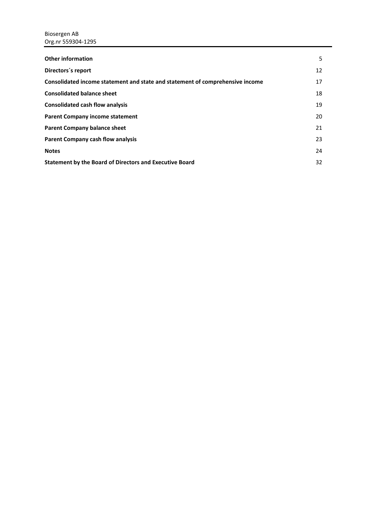| <b>Other information</b>                                                      | 5  |
|-------------------------------------------------------------------------------|----|
| Directors's report                                                            | 12 |
| Consolidated income statement and state and statement of comprehensive income | 17 |
| <b>Consolidated balance sheet</b>                                             | 18 |
| <b>Consolidated cash flow analysis</b>                                        | 19 |
| <b>Parent Company income statement</b>                                        | 20 |
| <b>Parent Company balance sheet</b>                                           | 21 |
| <b>Parent Company cash flow analysis</b>                                      | 23 |
| <b>Notes</b>                                                                  | 24 |
| Statement by the Board of Directors and Executive Board                       | 32 |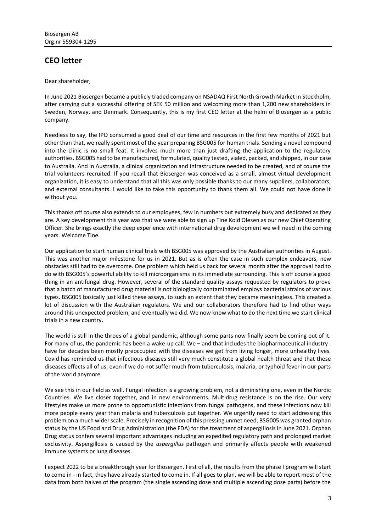# **CEO letter**

Dear shareholder,

In June 2021 Biosergen became a publicly traded company on NSADAQ First North Growth Market in Stockholm, after carrying out a successful offering of SEK 50 million and welcoming more than 1,200 new shareholders in Sweden, Norway, and Denmark. Consequently, this is my first CEO letter at the helm of Biosergen as a public company.

Needless to say, the IPO consumed a good deal of our time and resources in the first few months of 2021 but other than that, we really spent most of the year preparing BSG005 for human trials. Sending a novel compound into the clinic is no small feat. It involves much more than just drafting the application to the regulatory authorities. BSG005 had to be manufactured, formulated, quality tested, vialed, packed, and shipped, in our case to Australia. And in Australia, a clinical organization and infrastructure needed to be created, and of course the trial volunteers recruited. If you recall that Biosergen was conceived as a small, almost virtual development organization, it is easy to understand that all this was only possible thanks to our many suppliers, collaborators, and external consultants. I would like to take this opportunity to thank them all. We could not have done it without you.

This thanks off course also extends to our employees, few in numbers but extremely busy and dedicated as they are. A key development this year was that we were able to sign up Tine Kold Olesen as our new Chief Operating Officer. She brings exactly the deep experience with international drug development we will need in the coming years. Welcome Tine.

Our application to start human clinical trials with BSG005 was approved by the Australian authorities in August. This was another major milestone for us in 2021. But as is often the case in such complex endeavors, new obstacles still had to be overcome. One problem which held us back for several month after the approval had to do with BSG005's powerful ability to kill microorganisms in its immediate surrounding. This is off course a good thing in an antifungal drug. However, several of the standard quality assays requested by regulators to prove that a batch of manufactured drug material is not biologically contaminated employs bacterial strains of various types. BSG005 basically just killed these assays, to such an extent that they became meaningless. This created a lot of discussion with the Australian regulators. We and our collaborators therefore had to find other ways around this unexpected problem, and eventually we did. We now know what to do the next time we start clinical trials in a new country.

The world is still in the throes of a global pandemic, although some parts now finally seem be coming out of it. For many of us, the pandemic has been a wake-up call. We – and that includes the biopharmaceutical industry have for decades been mostly preoccupied with the diseases we get from living longer, more unhealthy lives. Covid has reminded us that infectious diseases still very much constitute a global health threat and that these diseases effects all of us, even if we do not suffer much from tuberculosis, malaria, or typhoid fever in our parts of the world anymore.

We see this in our field as well. Fungal infection is a growing problem, not a diminishing one, even in the Nordic Countries. We live closer together, and in new environments. Multidrug resistance is on the rise. Our very lifestyles make us more prone to opportunistic infections from fungal pathogens, and these infections now kill more people every year than malaria and tuberculosis put together. We urgently need to start addressing this problem on a much wider scale. Precisely in recognition of this pressing unmet need, BSG005 was granted orphan status by the US Food and Drug Administration (the FDA) for the treatment of aspergillosis in June 2021. Orphan Drug status confers several important advantages including an expedited regulatory path and prolonged market exclusivity. Aspergillosis is caused by the *aspergillus* pathogen and primarily affects people with weakened immune systems or lung diseases.

I expect 2022 to be a breakthrough year for Biosergen. First of all, the results from the phase I program will start to come in - in fact, they have already started to come in. If all goes to plan, we will be able to report most of the data from both halves of the program (the single ascending dose and multiple ascending dose parts) before the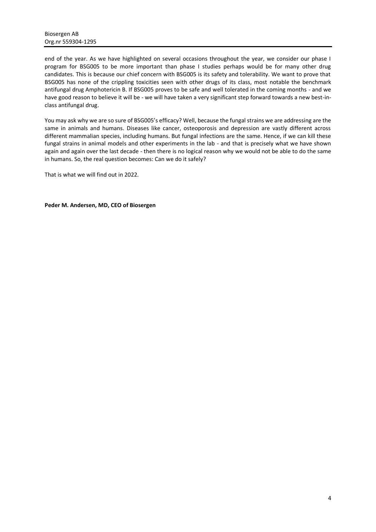end of the year. As we have highlighted on several occasions throughout the year, we consider our phase I program for BSG005 to be more important than phase I studies perhaps would be for many other drug candidates. This is because our chief concern with BSG005 is its safety and tolerability. We want to prove that BSG005 has none of the crippling toxicities seen with other drugs of its class, most notable the benchmark antifungal drug Amphotericin B. If BSG005 proves to be safe and well tolerated in the coming months - and we have good reason to believe it will be - we will have taken a very significant step forward towards a new best-inclass antifungal drug.

You may ask why we are so sure of BSG005's efficacy? Well, because the fungal strains we are addressing are the same in animals and humans. Diseases like cancer, osteoporosis and depression are vastly different across different mammalian species, including humans. But fungal infections are the same. Hence, if we can kill these fungal strains in animal models and other experiments in the lab - and that is precisely what we have shown again and again over the last decade - then there is no logical reason why we would not be able to do the same in humans. So, the real question becomes: Can we do it safely?

That is what we will find out in 2022.

**Peder M. Andersen, MD, CEO of Biosergen**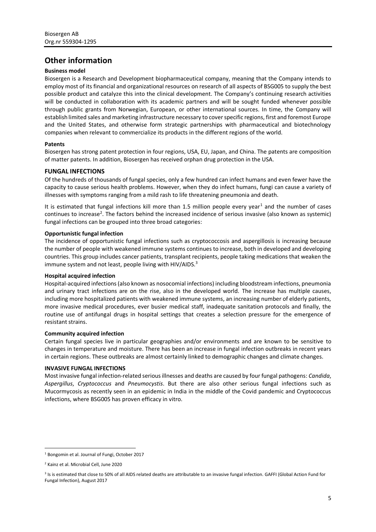# <span id="page-4-0"></span>**Other information**

### **Business model**

Biosergen is a Research and Development biopharmaceutical company, meaning that the Company intends to employ most of its financial and organizational resources on research of all aspects of BSG005 to supply the best possible product and catalyze this into the clinical development. The Company's continuing research activities will be conducted in collaboration with its academic partners and will be sought funded whenever possible through public grants from Norwegian, European, or other international sources. In time, the Company will establish limited sales and marketing infrastructure necessary to cover specific regions, first and foremost Europe and the United States, and otherwise form strategic partnerships with pharmaceutical and biotechnology companies when relevant to commercialize its products in the different regions of the world.

### **Patents**

Biosergen has strong patent protection in four regions, USA, EU, Japan, and China. The patents are composition of matter patents. In addition, Biosergen has received orphan drug protection in the USA.

### **FUNGAL INFECTIONS**

Of the hundreds of thousands of fungal species, only a few hundred can infect humans and even fewer have the capacity to cause serious health problems. However, when they do infect humans, fungi can cause a variety of illnesses with symptoms ranging from a mild rash to life threatening pneumonia and death.

It is estimated that fungal infections kill more than 1.5 million people every year<sup>1</sup> and the number of cases continues to increase<sup>2</sup>. The factors behind the increased incidence of serious invasive (also known as systemic) fungal infections can be grouped into three broad categories:

### **Opportunistic fungal infection**

The incidence of opportunistic fungal infections such as cryptococcosis and aspergillosis is increasing because the number of people with weakened immune systems continues to increase, both in developed and developing countries. This group includes cancer patients, transplant recipients, people taking medications that weaken the immune system and not least, people living with HIV/AIDS.<sup>3</sup>

### **Hospital acquired infection**

Hospital-acquired infections (also known as nosocomial infections) including bloodstream infections, pneumonia and urinary tract infections are on the rise, also in the developed world. The increase has multiple causes, including more hospitalized patients with weakened immune systems, an increasing number of elderly patients, more invasive medical procedures, ever busier medical staff, inadequate sanitation protocols and finally, the routine use of antifungal drugs in hospital settings that creates a selection pressure for the emergence of resistant strains.

### **Community acquired infection**

Certain fungal species live in particular geographies and/or environments and are known to be sensitive to changes in temperature and moisture. There has been an increase in fungal infection outbreaks in recent years in certain regions. These outbreaks are almost certainly linked to demographic changes and climate changes.

### **INVASIVE FUNGAL INFECTIONS**

Most invasive fungal infection-related serious illnesses and deaths are caused by four fungal pathogens: *Candida*, *Aspergillus*, *Cryptococcus* and *Pneumocystis*. But there are also other serious fungal infections such as Mucormycosis as recently seen in an epidemic in India in the middle of the Covid pandemic and Cryptococcus infections, where BSG005 has proven efficacy in vitro.

<sup>1</sup> Bongomin et al. Journal of Fungi, October 2017

<sup>2</sup> Kainz et al. Microbial Cell, June 2020

<sup>&</sup>lt;sup>3</sup> Is is estimated that close to 50% of all AIDS related deaths are attributable to an invasive fungal infection. GAFFI (Global Action Fund for Fungal Infection), August 2017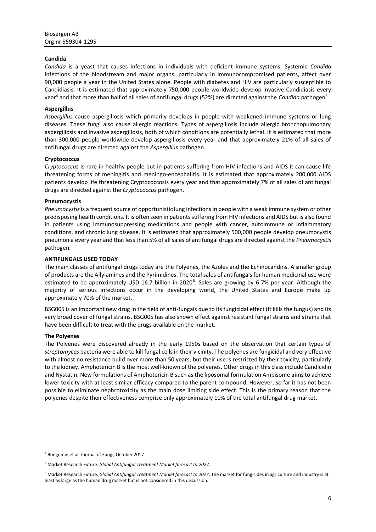### **Candida**

*Candida* is a yeast that causes infections in individuals with deficient immune systems. Systemic *Candida* infections of the bloodstream and major organs, particularly in immunocompromised patients, affect over 90,000 people a year in the United States alone. People with diabetes and HIV are particularly susceptible to Candidiasis. It is estimated that approximately 750,000 people worldwide develop invasive Candidiasis every year<sup>4</sup> and that more than half of all sales of antifungal drugs (52%) are directed against the *Candida* pathogen<sup>5</sup>

### **Aspergillus**

*Aspergillus* cause aspergillosis which primarily develops in people with weakened immune systems or lung diseases. These fungi also cause allergic reactions. Types of aspergillosis include allergic bronchopulmonary aspergillosis and invasive aspergillosis, both of which conditions are potentially lethal. It is estimated that more than 300,000 people worldwide develop aspergillosis every year and that approximately 21% of all sales of antifungal drugs are directed against the *Aspergillus* pathogen.

### **Cryptococcus**

*Cryptococcus* is rare in healthy people but in patients suffering from HIV infections and AIDS it can cause life threatening forms of meningitis and meningo-encephalitis. It is estimated that approximately 200,000 AIDS patients develop life threatening Cryptococcosis every year and that approximately 7% of all sales of antifungal drugs are directed against the *Cryptococcus* pathogen.

### **Pneumocystis**

*Pneumocystis*is a frequent source of opportunistic lung infections in people with a weak immune system or other predisposing health conditions. It is often seen in patients suffering from HIV infections and AIDS but is also found in patients using immunosuppressing medications and people with cancer, autoimmune or inflammatory conditions, and chronic lung disease. It is estimated that approximately 500,000 people develop pneumocystis pneumonia every year and that less than 5% of all sales of antifungal drugs are directed against the *Pneumocystis* pathogen.

### **ANTIFUNGALS USED TODAY**

The main classes of antifungal drugs today are the Polyenes, the Azoles and the Echinocandins. A smaller group of products are the Allylamines and the Pyrimidines. The total sales of antifungals for human medicinal use were estimated to be approximately USD 16.7 billion in 2020<sup>6</sup>. Sales are growing by 6-7% per year. Although the majority of serious infections occur in the developing world, the United States and Europe make up approximately 70% of the market.

BSG005 is an important new drug in the field of anti-fungals due to its fungicidal effect (It kills the fungus) and its very broad cover of fungal strains. BSG005 has also shown effect against resistant fungal strains and strains that have been difficult to treat with the drugs available on the market.

### **The Polyenes**

The Polyenes were discovered already in the early 1950s based on the observation that certain types of *streptomyces* bacteria were able to kill fungal cells in their vicinity. The polyenes are fungicidal and very effective with almost no resistance build over more than 50 years, but their use is restricted by their toxicity, particularly to the kidney. Amphotericin B is the most well-known of the polyenes. Other drugs in this class include Candicidin and Nystatin. New formulations of Amphotericin B such as the liposomal formulation Ambisome aims to achieve lower toxicity with at least similar efficacy compared to the parent compound. However, so far it has not been possible to eliminate nephrotoxicity as the main dose limiting side effect. This is the primary reason that the polyenes despite their effectiveness comprise only approximately 10% of the total antifungal drug market.

<sup>4</sup> Bongomin et al. Journal of Fungi, October 2017

<sup>5</sup> Market Research Future. *Global Antifungal Treatment Market forecast to 2027*.

<sup>6</sup> Market Research Future. *Global Antifungal Treatment Market forecast to 2027*. The market for fungicides in agriculture and industry is at least as large as the human drug market but is not considered in this discussion.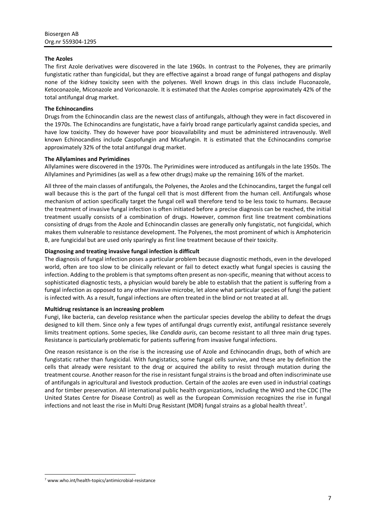### **The Azoles**

The first Azole derivatives were discovered in the late 1960s. In contrast to the Polyenes, they are primarily fungistatic rather than fungicidal, but they are effective against a broad range of fungal pathogens and display none of the kidney toxicity seen with the polyenes. Well known drugs in this class include Fluconazole, Ketoconazole, Miconazole and Voriconazole. It is estimated that the Azoles comprise approximately 42% of the total antifungal drug market.

### **The Echinocandins**

Drugs from the Echinocandin class are the newest class of antifungals, although they were in fact discovered in the 1970s. The Echinocandins are fungistatic, have a fairly broad range particularly against candida species, and have low toxicity. They do however have poor bioavailability and must be administered intravenously. Well known Echinocandins include Caspofungin and Micafungin. It is estimated that the Echinocandins comprise approximately 32% of the total antifungal drug market.

### **The Allylamines and Pyrimidines**

Allylamines were discovered in the 1970s. The Pyrimidines were introduced as antifungals in the late 1950s. The Allylamines and Pyrimidines (as well as a few other drugs) make up the remaining 16% of the market.

All three of the main classes of antifungals, the Polyenes, the Azoles and the Echinocandins, target the fungal cell wall because this is the part of the fungal cell that is most different from the human cell. Antifungals whose mechanism of action specifically target the fungal cell wall therefore tend to be less toxic to humans. Because the treatment of invasive fungal infection is often initiated before a precise diagnosis can be reached, the initial treatment usually consists of a combination of drugs. However, common first line treatment combinations consisting of drugs from the Azole and Echinocandin classes are generally only fungistatic, not fungicidal, which makes them vulnerable to resistance development. The Polyenes, the most prominent of which is Amphotericin B, are fungicidal but are used only sparingly as first line treatment because of their toxicity.

### **Diagnosing and treating invasive fungal infection is difficult**

The diagnosis of fungal infection poses a particular problem because diagnostic methods, even in the developed world, often are too slow to be clinically relevant or fail to detect exactly what fungal species is causing the infection. Adding to the problem is that symptoms often present as non-specific, meaning that without access to sophisticated diagnostic tests, a physician would barely be able to establish that the patient is suffering from a fungal infection as opposed to any other invasive microbe, let alone what particular species of fungi the patient is infected with. As a result, fungal infections are often treated in the blind or not treated at all.

### **Multidrug resistance is an increasing problem**

Fungi, like bacteria, can develop resistance when the particular species develop the ability to defeat the drugs designed to kill them. Since only a few types of antifungal drugs currently exist, antifungal resistance severely limits treatment options. Some species, like *Candida auris*, can become resistant to all three main drug types. Resistance is particularly problematic for patients suffering from invasive fungal infections.

One reason resistance is on the rise is the increasing use of Azole and Echinocandin drugs, both of which are fungistatic rather than fungicidal. With fungistatics, some fungal cells survive, and these are by definition the cells that already were resistant to the drug or acquired the ability to resist through mutation during the treatment course. Another reason for the rise in resistant fungal strains is the broad and often indiscriminate use of antifungals in agricultural and livestock production. Certain of the azoles are even used in industrial coatings and for timber preservation. All international public health organizations, including the WHO and the CDC (The United States Centre for Disease Control) as well as the European Commission recognizes the rise in fungal infections and not least the rise in Multi Drug Resistant (MDR) fungal strains as a global health threat<sup>7</sup>.

<sup>7</sup> www.who.int/health-topics/antimicrobial-resistance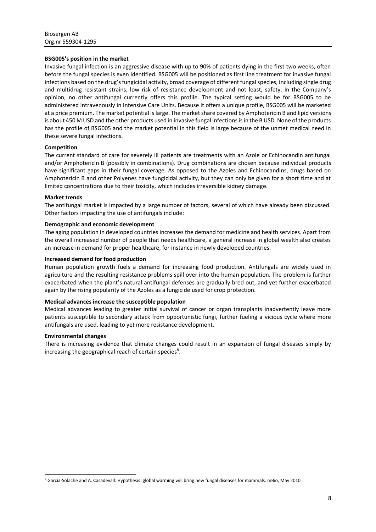### **BSG005's position in the market**

Invasive fungal infection is an aggressive disease with up to 90% of patients dying in the first two weeks, often before the fungal species is even identified. BSG005 will be positioned as first line treatment for invasive fungal infections based on the drug's fungicidal activity, broad coverage of different fungal species, including single drug and multidrug resistant strains, low risk of resistance development and not least, safety. In the Company's opinion, no other antifungal currently offers this profile. The typical setting would be for BSG005 to be administered intravenously in Intensive Care Units. Because it offers a unique profile, BSG005 will be marketed at a price premium. The market potential is large. The market share covered by Amphotericin B and lipid versions is about 450 M USD and the other products used in invasive fungal infections is in the B USD. None of the products has the profile of BSG005 and the market potential in this field is large because of the unmet medical need in these severe fungal infections.

### **Competition**

The current standard of care for severely ill patients are treatments with an Azole or Echinocandin antifungal and/or Amphotericin B (possibly in combinations). Drug combinations are chosen because individual products have significant gaps in their fungal coverage. As opposed to the Azoles and Echinocandins, drugs based on Amphotericin B and other Polyenes have fungicidal activity, but they can only be given for a short time and at limited concentrations due to their toxicity, which includes irreversible kidney damage.

### **Market trends**

The antifungal market is impacted by a large number of factors, several of which have already been discussed. Other factors impacting the use of antifungals include:

### **Demographic and economic development**

The aging population in developed countries increases the demand for medicine and health services. Apart from the overall increased number of people that needs healthcare, a general increase in global wealth also creates an increase in demand for proper healthcare, for instance in newly developed countries.

### **Increased demand for food production**

Human population growth fuels a demand for increasing food production. Antifungals are widely used in agriculture and the resulting resistance problems spill over into the human population. The problem is further exacerbated when the plant's natural antifungal defenses are gradually bred out, and yet further exacerbated again by the rising popularity of the Azoles as a fungicide used for crop protection.

### **Medical advances increase the susceptible population**

Medical advances leading to greater initial survival of cancer or organ transplants inadvertently leave more patients susceptible to secondary attack from opportunistic fungi, further fueling a vicious cycle where more antifungals are used, leading to yet more resistance development.

### **Environmental changes**

There is increasing evidence that climate changes could result in an expansion of fungal diseases simply by increasing the geographical reach of certain species<sup>8</sup>.

<sup>8</sup> Garcia-Solache and A. Casadevall: Hypothesis: global warming will bring new fungal diseases for mammals. mBio, May 2010.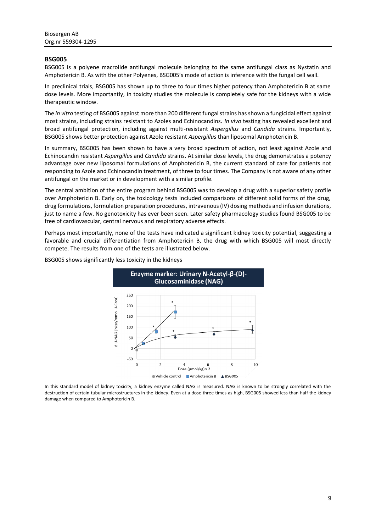### **BSG005**

BSG005 is a polyene macrolide antifungal molecule belonging to the same antifungal class as Nystatin and Amphotericin B. As with the other Polyenes, BSG005's mode of action is inference with the fungal cell wall.

In preclinical trials, BSG005 has shown up to three to four times higher potency than Amphotericin B at same dose levels. More importantly, in toxicity studies the molecule is completely safe for the kidneys with a wide therapeutic window.

The *in vitro* testing of BSG005 against more than 200 different fungal strains has shown a fungicidal effect against most strains, including strains resistant to Azoles and Echinocandins. *In vivo* testing has revealed excellent and broad antifungal protection, including against multi-resistant *Aspergillus* and *Candida* strains. Importantly, BSG005 shows better protection against Azole resistant *Aspergillus* than liposomal Amphotericin B.

In summary, BSG005 has been shown to have a very broad spectrum of action, not least against Azole and Echinocandin resistant *Aspergillus* and *Candida* strains. At similar dose levels, the drug demonstrates a potency advantage over new liposomal formulations of Amphotericin B, the current standard of care for patients not responding to Azole and Echinocandin treatment, of three to four times. The Company is not aware of any other antifungal on the market or in development with a similar profile.

The central ambition of the entire program behind BSG005 was to develop a drug with a superior safety profile over Amphotericin B. Early on, the toxicology tests included comparisons of different solid forms of the drug, drug formulations, formulation preparation procedures, intravenous (IV) dosing methods and infusion durations, just to name a few. No genotoxicity has ever been seen. Later safety pharmacology studies found BSG005 to be free of cardiovascular, central nervous and respiratory adverse effects.

Perhaps most importantly, none of the tests have indicated a significant kidney toxicity potential, suggesting a favorable and crucial differentiation from Amphotericin B, the drug with which BSG005 will most directly compete. The results from one of the tests are illustrated below.



BSG005 shows significantly less toxicity in the kidneys

In this standard model of kidney toxicity, a kidney enzyme called NAG is measured. NAG is known to be strongly correlated with the destruction of certain tubular microstructures in the kidney. Even at a dose three times as high, BSG005 showed less than half the kidney damage when compared to Amphotericin B.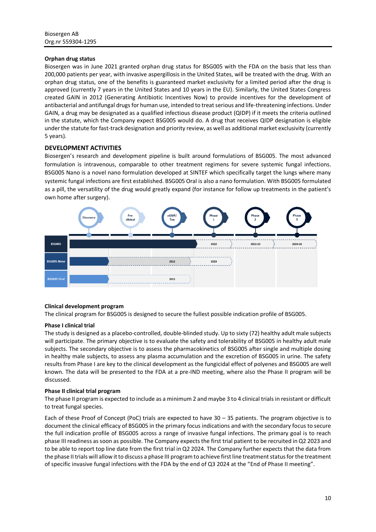### **Orphan drug status**

Biosergen was in June 2021 granted orphan drug status for BSG005 with the FDA on the basis that less than 200,000 patients per year, with invasive aspergillosis in the United States, will be treated with the drug. With an orphan drug status, one of the benefits is guaranteed market exclusivity for a limited period after the drug is approved (currently 7 years in the United States and 10 years in the EU). Similarly, the United States Congress created GAIN in 2012 (Generating Antibiotic Incentives Now) to provide incentives for the development of antibacterial and antifungal drugs for human use, intended to treat serious and life-threatening infections. Under GAIN, a drug may be designated as a qualified infectious disease product (QIDP) if it meets the criteria outlined in the statute, which the Company expect BSG005 would do. A drug that receives QIDP designation is eligible under the statute for fast-track designation and priority review, as well as additional market exclusivity (currently 5 years).

### **DEVELOPMENT ACTIVITIES**

Biosergen's research and development pipeline is built around formulations of BSG005. The most advanced formulation is intravenous, comparable to other treatment regimens for severe systemic fungal infections. BSG005 Nano is a novel nano formulation developed at SINTEF which specifically target the lungs where many systemic fungal infections are first established. BSG005 Oral is also a nano formulation. With BSG005 formulated as a pill, the versatility of the drug would greatly expand (for instance for follow up treatments in the patient's own home after surgery).



### **Clinical development program**

The clinical program for BSG005 is designed to secure the fullest possible indication profile of BSG005.

### **Phase I clinical trial**

The study is designed as a placebo-controlled, double-blinded study. Up to sixty (72) healthy adult male subjects will participate. The primary objective is to evaluate the safety and tolerability of BSG005 in healthy adult male subjects. The secondary objective is to assess the pharmacokinetics of BSG005 after single and multiple dosing in healthy male subjects, to assess any plasma accumulation and the excretion of BSG005 in urine. The safety results from Phase I are key to the clinical development as the fungicidal effect of polyenes and BSG005 are well known. The data will be presented to the FDA at a pre-IND meeting, where also the Phase II program will be discussed.

### **Phase II clinical trial program**

The phase II program is expected to include as a minimum 2 and maybe 3 to 4 clinical trials in resistant or difficult to treat fungal species.

Each of these Proof of Concept (PoC) trials are expected to have 30 – 35 patients. The program objective is to document the clinical efficacy of BSG005 in the primary focus indications and with the secondary focus to secure the full indication profile of BSG005 across a range of invasive fungal infections. The primary goal is to reach phase III readiness as soon as possible. The Company expects the first trial patient to be recruited in Q2 2023 and to be able to report top line date from the first trial in Q2 2024. The Company further expects that the data from the phase II trials will allow it to discuss a phase III program to achieve first line treatment status for the treatment of specific invasive fungal infections with the FDA by the end of Q3 2024 at the "End of Phase II meeting".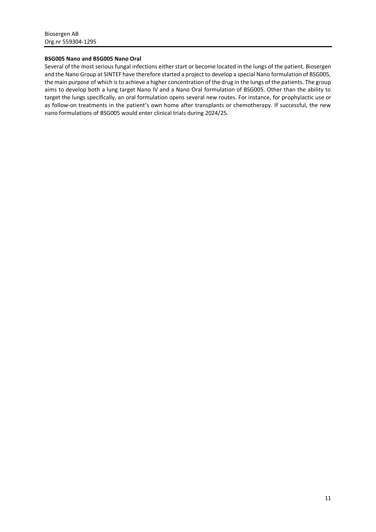### **BSG005 Nano and BSG005 Nano Oral**

Several of the most serious fungal infections either start or become located in the lungs of the patient. Biosergen and the Nano Group at SINTEF have therefore started a project to develop a special Nano formulation of BSG005, the main purpose of which is to achieve a higher concentration of the drug in the lungs of the patients. The group aims to develop both a lung target Nano IV and a Nano Oral formulation of BSG005. Other than the ability to target the lungs specifically, an oral formulation opens several new routes. For instance, for prophylactic use or as follow-on treatments in the patient's own home after transplants or chemotherapy. If successful, the new nano formulations of BSG005 would enter clinical trials during 2024/25.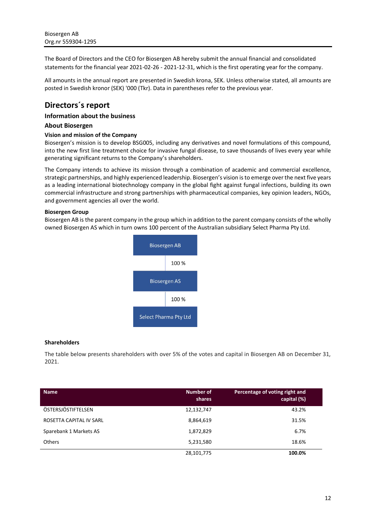The Board of Directors and the CEO for Biosergen AB hereby submit the annual financial and consolidated statements for the financial year 2021-02-26 - 2021-12-31, which is the first operating year for the company.

All amounts in the annual report are presented in Swedish krona, SEK. Unless otherwise stated, all amounts are posted in Swedish kronor (SEK) '000 (Tkr). Data in parentheses refer to the previous year.

# <span id="page-11-0"></span>**Directors´s report**

### **Information about the business**

### **About Biosergen**

### **Vision and mission of the Company**

Biosergen's mission is to develop BSG005, including any derivatives and novel formulations of this compound, into the new first line treatment choice for invasive fungal disease, to save thousands of lives every year while generating significant returns to the Company's shareholders.

The Company intends to achieve its mission through a combination of academic and commercial excellence, strategic partnerships, and highly experienced leadership. Biosergen's vision is to emerge over the next five years as a leading international biotechnology company in the global fight against fungal infections, building its own commercial infrastructure and strong partnerships with pharmaceutical companies, key opinion leaders, NGOs, and government agencies all over the world.

### **Biosergen Group**

Biosergen AB is the parent company in the group which in addition to the parent company consists of the wholly owned Biosergen AS which in turn owns 100 percent of the Australian subsidiary Select Pharma Pty Ltd.



### **Shareholders**

The table below presents shareholders with over 5% of the votes and capital in Biosergen AB on December 31, 2021.

| <b>Name</b>             | <b>Number of</b><br>shares | Percentage of voting right and<br>capital (%) |
|-------------------------|----------------------------|-----------------------------------------------|
| ÖSTERSJÖSTIFTELSEN      | 12,132,747                 | 43.2%                                         |
| ROSETTA CAPITAL IV SARL | 8,864,619                  | 31.5%                                         |
| Sparebank 1 Markets AS  | 1,872,829                  | 6.7%                                          |
| <b>Others</b>           | 5,231,580                  | 18.6%                                         |
|                         | 28,101,775                 | 100.0%                                        |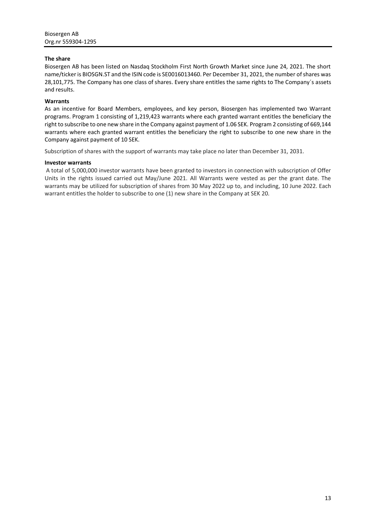### **The share**

Biosergen AB has been listed on Nasdaq Stockholm First North Growth Market since June 24, 2021. The short name/ticker is BIOSGN.ST and the ISIN code is SE0016013460. Per December 31, 2021, the number of shares was 28,101,775. The Company has one class of shares. Every share entitles the same rights to The Company´s assets and results.

### **Warrants**

As an incentive for Board Members, employees, and key person, Biosergen has implemented two Warrant programs. Program 1 consisting of 1,219,423 warrants where each granted warrant entitles the beneficiary the right to subscribe to one new share in the Company against payment of 1.06 SEK. Program 2 consisting of 669,144 warrants where each granted warrant entitles the beneficiary the right to subscribe to one new share in the Company against payment of 10 SEK.

Subscription of shares with the support of warrants may take place no later than December 31, 2031.

### **Investor warrants**

A total of 5,000,000 investor warrants have been granted to investors in connection with subscription of Offer Units in the rights issued carried out May/June 2021. All Warrants were vested as per the grant date. The warrants may be utilized for subscription of shares from 30 May 2022 up to, and including, 10 June 2022. Each warrant entitles the holder to subscribe to one (1) new share in the Company at SEK 20.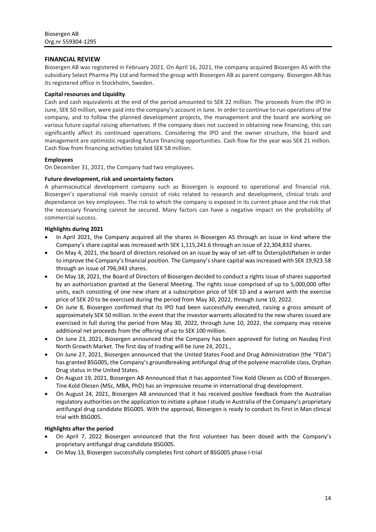### **FINANCIAL REVIEW**

Biosergen AB was registered in February 2021. On April 16, 2021, the company acquired Biosergen AS with the subsidiary Select Pharma Pty Ltd and formed the group with Biosergen AB as parent company. Biosergen AB has its registered office in Stockholm, Sweden.

### **Capital resources and Liquidity**

Cash and cash equivalents at the end of the period amounted to SEK 22 million. The proceeds from the IPO in June, SEK 50 million, were paid into the company's account in June. In order to continue to run operations of the company, and to follow the planned development projects, the management and the board are working on various future capital raising alternatives. If the company does not succeed in obtaining new financing, this can significantly affect its continued operations. Considering the IPO and the owner structure, the board and management are optimistic regarding future financing opportunities. Cash flow for the year was SEK 21 million. Cash flow from financing activities totaled SEK 58 million.

### **Employees**

On December 31, 2021, the Company had two employees.

### **Future development, risk and uncertainty factors**

A pharmaceutical development company such as Biosergen is exposed to operational and financial risk. Biosergen's operational risk mainly consist of risks related to research and development, clinical trials and dependance on key employees. The risk to which the company is exposed in its current phase and the risk that the necessary financing cannot be secured. Many factors can have a negative impact on the probability of commercial success.

### **Highlights during 2021**

- In April 2021, the Company acquired all the shares in Biosergen AS through an issue in kind where the Company's share capital was increased with SEK 1,115,241.6 through an issue of 22,304,832 shares.
- On May 4, 2021, the board of directors resolved on an issue by way of set-off to Östersjöstiftelsen in order to improve the Company's financial position. The Company's share capital was increased with SEK 19,923.58 through an issue of 796,943 shares.
- On May 18, 2021, the Board of Directors of Biosergen decided to conduct a rights issue of shares supported by an authorization granted at the General Meeting. The rights issue comprised of up to 5,000,000 offer units, each consisting of one new share at a subscription price of SEK 10 and a warrant with the exercise price of SEK 20 to be exercised during the period from May 30, 2022, through June 10, 2022.
- On June 8, Biosergen confirmed that its IPO had been successfully executed, raising a gross amount of approximately SEK 50 million. In the event that the investor warrants allocated to the new shares issued are exercised in full during the period from May 30, 2022, through June 10, 2022, the company may receive additional net proceeds from the offering of up to SEK 100 million.
- On June 23, 2021, Biosergen announced that the Company has been approved for listing on Nasdaq First North Growth Market. The first day of trading will be June 24, 2021.,
- On June 27, 2021, Biosergen announced that the United States Food and Drug Administration (the "FDA") has granted BSG005, the Company's groundbreaking antifungal drug of the polyene macrolide class, Orphan Drug status in the United States.
- On August 19, 2021, Biosergen AB Announced that it has appointed Tine Kold Olesen as COO of Biosergen. Tine Kold Olesen (MSc, MBA, PhD) has an impressive resume in international drug development.
- On August 24, 2021, Biosergen AB announced that it has received positive feedback from the Australian regulatory authorities on the application to initiate a phase I study in Australia of the Company's proprietary antifungal drug candidate BSG005. With the approval, Biosergen is ready to conduct its First in Man clinical trial with BSG005.

### **Highlights after the period**

- On April 7, 2022 Biosergen announced that the first volunteer has been dosed with the Company's proprietary antifungal drug candidate BSG005.
- On May 13, Biosergen successfully completes first cohort of BSG005 phase I-trial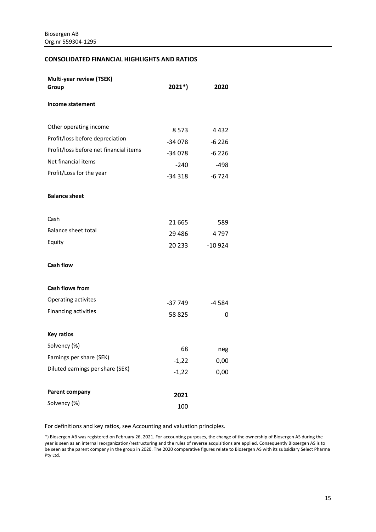### **CONSOLIDATED FINANCIAL HIGHLIGHTS AND RATIOS**

| <b>Multi-year review (TSEK)</b><br>Group                                                                                     | $2021*)$                                 | 2020                                  |
|------------------------------------------------------------------------------------------------------------------------------|------------------------------------------|---------------------------------------|
| Income statement                                                                                                             |                                          |                                       |
| Other operating income                                                                                                       | 8573                                     | 4432                                  |
| Profit/loss before depreciation<br>Profit/loss before net financial items<br>Net financial items<br>Profit/Loss for the year | $-34078$<br>$-34078$<br>-240<br>$-34318$ | $-6226$<br>$-6226$<br>-498<br>$-6724$ |
| <b>Balance sheet</b>                                                                                                         |                                          |                                       |
| Cash<br><b>Balance sheet total</b><br>Equity                                                                                 | 21 665<br>29 4 8 6<br>20 233             | 589<br>4797<br>$-10924$               |
| <b>Cash flow</b>                                                                                                             |                                          |                                       |
| <b>Cash flows from</b>                                                                                                       |                                          |                                       |
| Operating activites                                                                                                          | $-37749$                                 | $-4584$                               |
| Financing activities                                                                                                         | 58 825                                   | 0                                     |
| <b>Key ratios</b>                                                                                                            |                                          |                                       |
| Solvency (%)                                                                                                                 | 68                                       | neg                                   |
| Earnings per share (SEK)                                                                                                     | $-1,22$                                  | 0,00                                  |
| Diluted earnings per share (SEK)                                                                                             | $-1,22$                                  | 0,00                                  |
| Parent company                                                                                                               | 2021                                     |                                       |
| Solvency (%)                                                                                                                 | 100                                      |                                       |

For definitions and key ratios, see Accounting and valuation principles.

\*) Biosergen AB was registered on February 26, 2021. For accounting purposes, the change of the ownership of Biosergen AS during the year is seen as an internal reorganization/restructuring and the rules of reverse acquisitions are applied. Consequently Biosergen AS is to be seen as the parent company in the group in 2020. The 2020 comparative figures relate to Biosergen AS with its subsidiary Select Pharma Pty Ltd.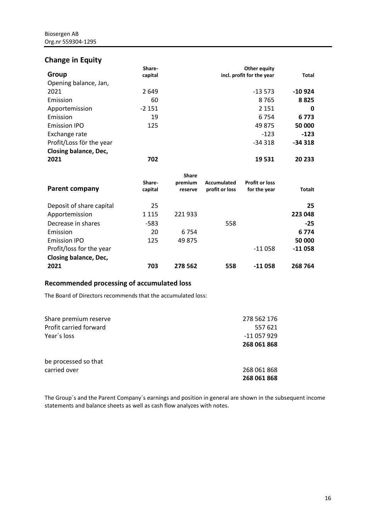# **Change in Equity**

|                              | Share-  | Other equity              |              |
|------------------------------|---------|---------------------------|--------------|
| Group                        | capital | incl. profit for the year | <b>Total</b> |
| Opening balance, Jan,        |         |                           |              |
| 2021                         | 2 6 4 9 | $-13573$                  | $-10924$     |
| Emission                     | 60      | 8765                      | 8825         |
| Apportemission               | $-2151$ | 2 1 5 1                   | 0            |
| Emission                     | 19      | 6 7 5 4                   | 6773         |
| <b>Emission IPO</b>          | 125     | 49 875                    | 50 000       |
| Exchange rate                |         | $-123$                    | $-123$       |
| Profit/Loss för the year     |         | $-34318$                  | $-34318$     |
| <b>Closing balance, Dec,</b> |         |                           |              |
| 2021                         | 702     | 19 531                    | 20 233       |

| <b>Parent company</b>    | Share-<br>capital | <b>Share</b><br>premium<br>reserve | Accumulated<br>profit or loss | <b>Profit or loss</b><br>for the year | <b>Totalt</b> |
|--------------------------|-------------------|------------------------------------|-------------------------------|---------------------------------------|---------------|
| Deposit of share capital | 25                |                                    |                               |                                       | 25            |
| Apportemission           | 1 1 1 5           | 221933                             |                               |                                       | 223 048       |
| Decrease in shares       | $-583$            |                                    | 558                           |                                       | $-25$         |
| Emission                 | 20                | 6 7 5 4                            |                               |                                       | 6 7 7 4       |
| <b>Emission IPO</b>      | 125               | 49 875                             |                               |                                       | 50 000        |
| Profit/loss for the year |                   |                                    |                               | $-11058$                              | $-11058$      |
| Closing balance, Dec,    |                   |                                    |                               |                                       |               |
| 2021                     | 703               | 278 562                            | 558                           | -11 058                               | 268 764       |

# **Recommended processing of accumulated loss**

The Board of Directors recommends that the accumulated loss:

| Share premium reserve  | 278 562 176 |
|------------------------|-------------|
| Profit carried forward | 557 621     |
| Year's loss            | -11 057 929 |
|                        | 268 061 868 |
| be processed so that   |             |
| carried over           | 268 061 868 |
|                        | 268 061 868 |

The Group´s and the Parent Company´s earnings and position in general are shown in the subsequent income statements and balance sheets as well as cash flow analyzes with notes.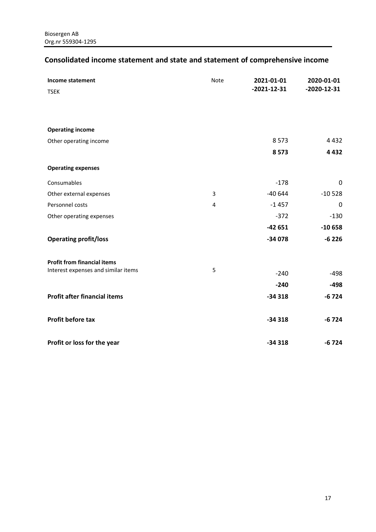# <span id="page-16-0"></span>**Consolidated income statement and state and statement of comprehensive income**

| Income statement<br><b>TSEK</b>     | Note | 2021-01-01<br>$-2021 - 12 - 31$ | 2020-01-01<br>$-2020 - 12 - 31$ |
|-------------------------------------|------|---------------------------------|---------------------------------|
| <b>Operating income</b>             |      |                                 |                                 |
| Other operating income              |      | 8573                            | 4 4 3 2                         |
|                                     |      | 8573                            | 4432                            |
| <b>Operating expenses</b>           |      |                                 |                                 |
| Consumables                         |      | $-178$                          | 0                               |
| Other external expenses             | 3    | $-40644$                        | $-10528$                        |
| Personnel costs                     | 4    | $-1457$                         | $\mathbf 0$                     |
| Other operating expenses            |      | $-372$                          | $-130$                          |
|                                     |      | $-42651$                        | $-10658$                        |
| <b>Operating profit/loss</b>        |      | $-34078$                        | $-6226$                         |
| <b>Profit from financial items</b>  |      |                                 |                                 |
| Interest expenses and similar items | 5    | $-240$                          | $-498$                          |
|                                     |      | $-240$                          | $-498$                          |
| <b>Profit after financial items</b> |      | $-34318$                        | $-6724$                         |
| Profit before tax                   |      | $-34318$                        | $-6724$                         |
| Profit or loss for the year         |      | $-34318$                        | $-6724$                         |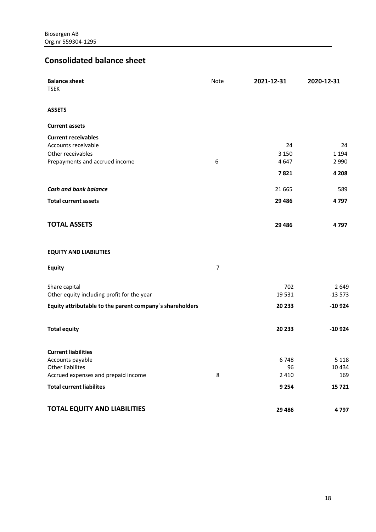# <span id="page-17-0"></span>**Consolidated balance sheet**

| <b>Balance sheet</b><br><b>TSEK</b>                                                                      | <b>Note</b>      | 2021-12-31            | 2020-12-31               |
|----------------------------------------------------------------------------------------------------------|------------------|-----------------------|--------------------------|
| <b>ASSETS</b>                                                                                            |                  |                       |                          |
| <b>Current assets</b>                                                                                    |                  |                       |                          |
| <b>Current receivables</b><br>Accounts receivable<br>Other receivables<br>Prepayments and accrued income | 6                | 24<br>3 1 5 0<br>4647 | 24<br>1 1 9 4<br>2 9 9 0 |
|                                                                                                          |                  | 7821                  | 4 2 0 8                  |
| <b>Cash and bank balance</b>                                                                             |                  | 21 6 65               | 589                      |
| <b>Total current assets</b>                                                                              |                  | 29 4 8 6              | 4797                     |
| <b>TOTAL ASSETS</b>                                                                                      |                  | 29 4 8 6              | 4797                     |
| <b>EQUITY AND LIABILITIES</b>                                                                            |                  |                       |                          |
| <b>Equity</b>                                                                                            | $\boldsymbol{7}$ |                       |                          |
| Share capital<br>Other equity including profit for the year                                              |                  | 702<br>19531          | 2649<br>$-13573$         |
| Equity attributable to the parent company's shareholders                                                 |                  | 20 233                | $-10924$                 |
| <b>Total equity</b>                                                                                      |                  | 20 233                | $-10924$                 |
| <b>Current liabilities</b>                                                                               |                  |                       |                          |
| Accounts payable<br><b>Other liabilites</b>                                                              |                  | 6748<br>96            | 5 1 1 8<br>10434         |
| Accrued expenses and prepaid income                                                                      | 8                | 2 4 1 0               | 169                      |
| <b>Total current liabilites</b>                                                                          |                  | 9 2 5 4               | 15721                    |
| <b>TOTAL EQUITY AND LIABILITIES</b>                                                                      |                  | 29 4 86               | 4797                     |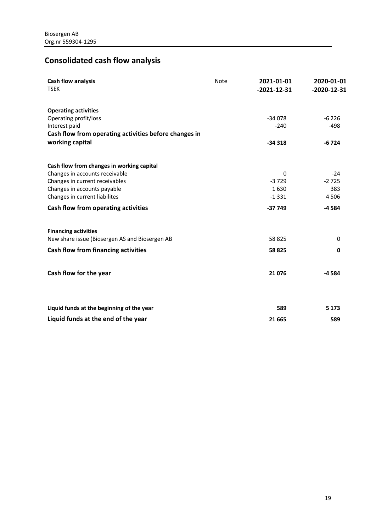# <span id="page-18-0"></span>**Consolidated cash flow analysis**

| Cash flow analysis<br><b>TSEK</b>                     | <b>Note</b> | 2021-01-01<br>$-2021-12-31$ | 2020-01-01<br>$-2020 - 12 - 31$ |
|-------------------------------------------------------|-------------|-----------------------------|---------------------------------|
| <b>Operating activities</b>                           |             |                             |                                 |
| Operating profit/loss                                 |             | $-34078$                    | $-6226$                         |
| Interest paid                                         |             | $-240$                      | $-498$                          |
| Cash flow from operating activities before changes in |             |                             |                                 |
| working capital                                       |             | $-34318$                    | $-6724$                         |
| Cash flow from changes in working capital             |             |                             |                                 |
| Changes in accounts receivable                        |             | $\Omega$                    | $-24$                           |
| Changes in current receivables                        |             | $-3729$                     | $-2725$                         |
| Changes in accounts payable                           |             | 1630                        | 383                             |
| Changes in current liabilites                         |             | $-1331$                     | 4506                            |
| Cash flow from operating activities                   |             | $-37749$                    | $-4584$                         |
| <b>Financing activities</b>                           |             |                             |                                 |
| New share issue (Biosergen AS and Biosergen AB        |             | 58 825                      | 0                               |
| <b>Cash flow from financing activities</b>            |             | 58 825                      | 0                               |
| Cash flow for the year                                |             | 21 0 76                     | $-4584$                         |
|                                                       |             |                             |                                 |
| Liquid funds at the beginning of the year             |             | 589                         | 5 1 7 3                         |
|                                                       |             |                             |                                 |
| Liquid funds at the end of the year                   |             | 21 6 65                     | 589                             |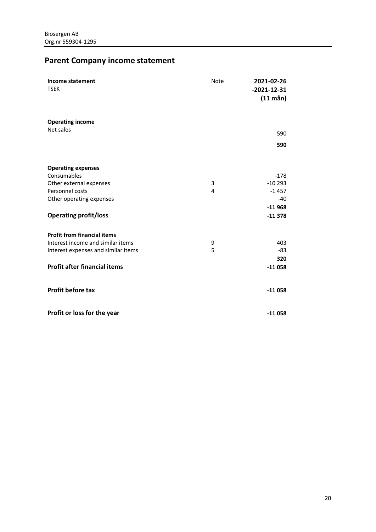# <span id="page-19-0"></span>**Parent Company income statement**

| <b>Income statement</b><br><b>TSEK</b> | <b>Note</b> | 2021-02-26<br>$-2021-12-31$<br>$(11 \text{ mån})$ |
|----------------------------------------|-------------|---------------------------------------------------|
| <b>Operating income</b>                |             |                                                   |
| Net sales                              |             | 590                                               |
|                                        |             | 590                                               |
| <b>Operating expenses</b>              |             |                                                   |
| Consumables                            |             | $-178$                                            |
| Other external expenses                | 3           | $-10293$                                          |
| Personnel costs                        | 4           | $-1457$                                           |
| Other operating expenses               |             | $-40$                                             |
|                                        |             | $-11968$                                          |
| <b>Operating profit/loss</b>           |             | $-11378$                                          |
| <b>Profit from financial items</b>     |             |                                                   |
| Interest income and similar items      | 9           | 403                                               |
| Interest expenses and similar items    | 5           | -83                                               |
|                                        |             | 320                                               |
| <b>Profit after financial items</b>    |             | $-11058$                                          |
| <b>Profit before tax</b>               |             | $-11058$                                          |
| Profit or loss for the year            |             | $-11058$                                          |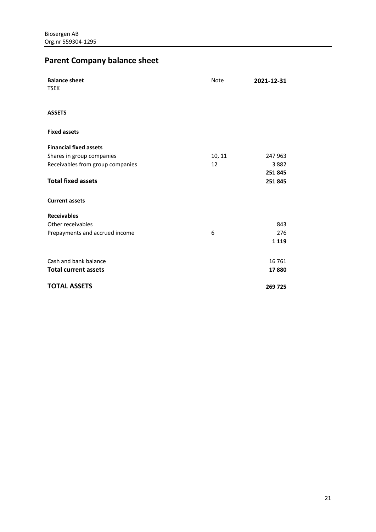# <span id="page-20-0"></span>**Parent Company balance sheet**

| <b>Balance sheet</b><br><b>TSEK</b> | <b>Note</b> | 2021-12-31 |
|-------------------------------------|-------------|------------|
| <b>ASSETS</b>                       |             |            |
| <b>Fixed assets</b>                 |             |            |
| <b>Financial fixed assets</b>       |             |            |
| Shares in group companies           | 10, 11      | 247 963    |
| Receivables from group companies    | 12          | 3882       |
|                                     |             | 251845     |
| <b>Total fixed assets</b>           |             | 251845     |
| <b>Current assets</b>               |             |            |
| <b>Receivables</b>                  |             |            |
| Other receivables                   |             | 843        |
| Prepayments and accrued income      | 6           | 276        |
|                                     |             | 1 1 1 9    |
| Cash and bank balance               |             | 16 7 61    |
| <b>Total current assets</b>         |             | 17880      |
| <b>TOTAL ASSETS</b>                 |             | 269 725    |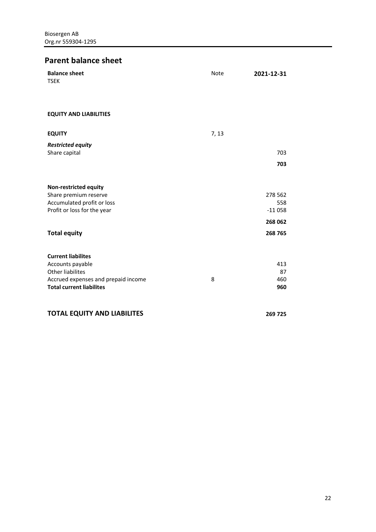# **Parent balance sheet**

| <b>Balance sheet</b><br><b>TSEK</b>                                                                                                                | Note  | 2021-12-31                 |
|----------------------------------------------------------------------------------------------------------------------------------------------------|-------|----------------------------|
| <b>EQUITY AND LIABILITIES</b>                                                                                                                      |       |                            |
| <b>EQUITY</b>                                                                                                                                      | 7, 13 |                            |
| <b>Restricted equity</b><br>Share capital                                                                                                          |       | 703<br>703                 |
| <b>Non-restricted equity</b><br>Share premium reserve<br>Accumulated profit or loss<br>Profit or loss for the year                                 |       | 278 562<br>558<br>$-11058$ |
| <b>Total equity</b>                                                                                                                                |       | 268 062<br>268 765         |
| <b>Current liabilites</b><br>Accounts payable<br><b>Other liabilites</b><br>Accrued expenses and prepaid income<br><b>Total current liabilites</b> | 8     | 413<br>87<br>460<br>960    |
| <b>TOTAL EQUITY AND LIABILITES</b>                                                                                                                 |       | 269 725                    |

22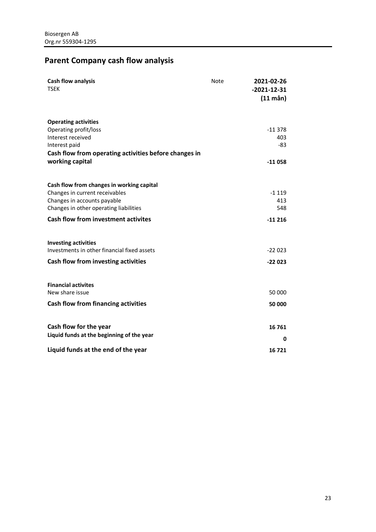# <span id="page-22-0"></span>**Parent Company cash flow analysis**

| <b>Cash flow analysis</b><br><b>TSEK</b>                                                                                                                                                           | <b>Note</b> | 2021-02-26<br>$-2021-12-31$<br>$(11 \text{ mån})$ |
|----------------------------------------------------------------------------------------------------------------------------------------------------------------------------------------------------|-------------|---------------------------------------------------|
| <b>Operating activities</b><br>Operating profit/loss<br>Interest received<br>Interest paid<br>Cash flow from operating activities before changes in<br>working capital                             |             | $-11378$<br>403<br>$-83$<br>$-11058$              |
| Cash flow from changes in working capital<br>Changes in current receivables<br>Changes in accounts payable<br>Changes in other operating liabilities<br><b>Cash flow from investment activites</b> |             | $-1119$<br>413<br>548<br>$-11216$                 |
| <b>Investing activities</b><br>Investments in other financial fixed assets<br>Cash flow from investing activities                                                                                  |             | $-22023$<br>$-22023$                              |
| <b>Financial activites</b><br>New share issue<br><b>Cash flow from financing activities</b>                                                                                                        |             | 50 000<br>50 000                                  |
| Cash flow for the year<br>Liquid funds at the beginning of the year<br>Liquid funds at the end of the year                                                                                         |             | 16761<br>0<br>16721                               |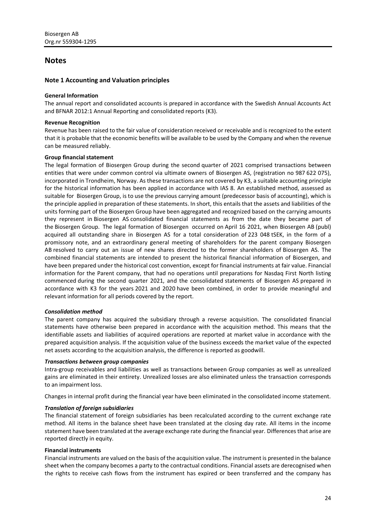### <span id="page-23-0"></span>**Notes**

### **Note 1 Accounting and Valuation principles**

### **General Information**

The annual report and consolidated accounts is prepared in accordance with the Swedish Annual Accounts Act and BFNAR 2012:1 Annual Reporting and consolidated reports (K3).

### **Revenue Recognition**

Revenue has been raised to the fair value of consideration received or receivable and is recognized to the extent that it is probable that the economic benefits will be available to be used by the Company and when the revenue can be measured reliably.

### **Group financial statement**

The legal formation of Biosergen Group during the second quarter of 2021 comprised transactions between entities that were under common control via ultimate owners of Biosergen AS, (registration no 987 622 075), incorporated in Trondheim, Norway. As these transactions are not covered by K3, a suitable accounting principle for the historical information has been applied in accordance with IAS 8. An established method, assessed as suitable for Biosergen Group, is to use the previous carrying amount (predecessor basis of accounting), which is the principle applied in preparation of these statements. In short, this entails that the assets and liabilities of the units forming part of the Biosergen Group have been aggregated and recognized based on the carrying amounts they represent in Biosergen AS consolidated financial statements as from the date they became part of the Biosergen Group. The legal formation of Biosergen occurred on April 16 2021, when Biosergen AB (publ) acquired all outstanding share in Biosergen AS for a total consideration of 223 048 tSEK, in the form of a promissory note, and an extraordinary general meeting of shareholders for the parent company Biosergen AB resolved to carry out an issue of new shares directed to the former shareholders of Biosergen AS. The combined financial statements are intended to present the historical financial information of Biosergen, and have been prepared under the historical cost convention, except for financial instruments at fair value. Financial information for the Parent company, that had no operations until preparations for Nasdaq First North listing commenced during the second quarter 2021, and the consolidated statements of Biosergen AS prepared in accordance with K3 for the years 2021 and 2020 have been combined, in order to provide meaningful and relevant information for all periods covered by the report.

### *Consolidation method*

The parent company has acquired the subsidiary through a reverse acquisition. The consolidated financial statements have otherwise been prepared in accordance with the acquisition method. This means that the identifiable assets and liabilities of acquired operations are reported at market value in accordance with the prepared acquisition analysis. If the acquisition value of the business exceeds the market value of the expected net assets according to the acquisition analysis, the difference is reported as goodwill.

### *Transactions between group companies*

Intra-group receivables and liabilities as well as transactions between Group companies as well as unrealized gains are eliminated in their entirety. Unrealized losses are also eliminated unless the transaction corresponds to an impairment loss.

Changes in internal profit during the financial year have been eliminated in the consolidated income statement.

### *Translation of foreign subsidiaries*

The financial statement of foreign subsidiaries has been recalculated according to the current exchange rate method. All items in the balance sheet have been translated at the closing day rate. All items in the income statement have been translated at the average exchange rate during the financial year. Differences that arise are reported directly in equity.

### **Financial instruments**

Financial instruments are valued on the basis of the acquisition value. The instrument is presented in the balance sheet when the company becomes a party to the contractual conditions. Financial assets are derecognised when the rights to receive cash flows from the instrument has expired or been transferred and the company has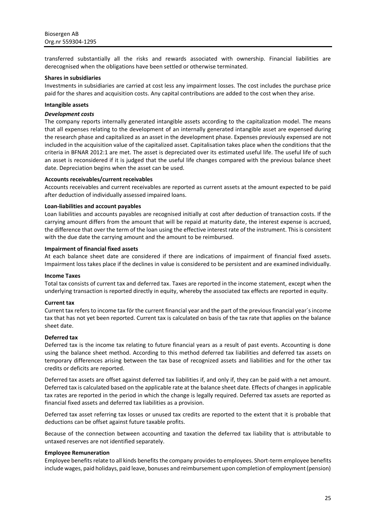transferred substantially all the risks and rewards associated with ownership. Financial liabilities are derecognised when the obligations have been settled or otherwise terminated.

### **Shares in subsidiaries**

Investments in subsidiaries are carried at cost less any impairment losses. The cost includes the purchase price paid for the shares and acquisition costs. Any capital contributions are added to the cost when they arise.

### **Intangible assets**

### *Development costs*

The company reports internally generated intangible assets according to the capitalization model. The means that all expenses relating to the development of an internally generated intangible asset are expensed during the research phase and capitalized as an asset in the development phase. Expenses previously expensed are not included in the acquisition value of the capitalized asset. Capitalisation takes place when the conditions that the criteria in BFNAR 2012:1 are met. The asset is depreciated over its estimated useful life. The useful life of such an asset is reconsidered if it is judged that the useful life changes compared with the previous balance sheet date. Depreciation begins when the asset can be used.

### **Accounts receivables/current receivables**

Accounts receivables and current receivables are reported as current assets at the amount expected to be paid after deduction of individually assessed impaired loans.

### **Loan-liabilities and account payables**

Loan liabilities and accounts payables are recognised initially at cost after deduction of transaction costs. If the carrying amount differs from the amount that will be repaid at maturity date, the interest expense is accrued, the difference that over the term of the loan using the effective interest rate of the instrument. This is consistent with the due date the carrying amount and the amount to be reimbursed.

### **Impairment of financial fixed assets**

At each balance sheet date are considered if there are indications of impairment of financial fixed assets. Impairment loss takes place if the declines in value is considered to be persistent and are examined individually.

### **Income Taxes**

Total tax consists of current tax and deferred tax. Taxes are reported in the income statement, except when the underlying transaction is reported directly in equity, whereby the associated tax effects are reported in equity.

### **Current tax**

Current tax refers to income tax för the current financial year and the part of the previous financial year´s income tax that has not yet been reported. Current tax is calculated on basis of the tax rate that applies on the balance sheet date.

### **Deferred tax**

Deferred tax is the income tax relating to future financial years as a result of past events. Accounting is done using the balance sheet method. According to this method deferred tax liabilities and deferred tax assets on temporary differences arising between the tax base of recognized assets and liabilities and for the other tax credits or deficits are reported.

Deferred tax assets are offset against deferred tax liabilities if, and only if, they can be paid with a net amount. Deferred tax is calculated based on the applicable rate at the balance sheet date. Effects of changes in applicable tax rates are reported in the period in which the change is legally required. Deferred tax assets are reported as financial fixed assets and deferred tax liabilities as a provision.

Deferred tax asset referring tax losses or unused tax credits are reported to the extent that it is probable that deductions can be offset against future taxable profits.

Because of the connection between accounting and taxation the deferred tax liability that is attributable to untaxed reserves are not identified separately.

### **Employee Remuneration**

Employee benefits relate to all kinds benefits the company provides to employees. Short-term employee benefits include wages, paid holidays, paid leave, bonuses and reimbursement upon completion of employment (pension)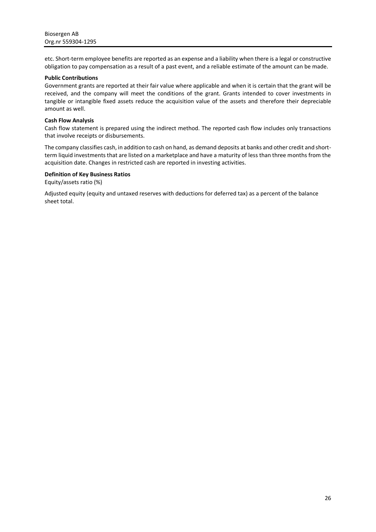etc. Short-term employee benefits are reported as an expense and a liability when there is a legal or constructive obligation to pay compensation as a result of a past event, and a reliable estimate of the amount can be made.

### **Public Contributions**

Government grants are reported at their fair value where applicable and when it is certain that the grant will be received, and the company will meet the conditions of the grant. Grants intended to cover investments in tangible or intangible fixed assets reduce the acquisition value of the assets and therefore their depreciable amount as well.

### **Cash Flow Analysis**

Cash flow statement is prepared using the indirect method. The reported cash flow includes only transactions that involve receipts or disbursements.

The company classifies cash, in addition to cash on hand, as demand deposits at banks and other credit and shortterm liquid investments that are listed on a marketplace and have a maturity of less than three months from the acquisition date. Changes in restricted cash are reported in investing activities.

### **Definition of Key Business Ratios**

Equity/assets ratio (%)

Adjusted equity (equity and untaxed reserves with deductions for deferred tax) as a percent of the balance sheet total.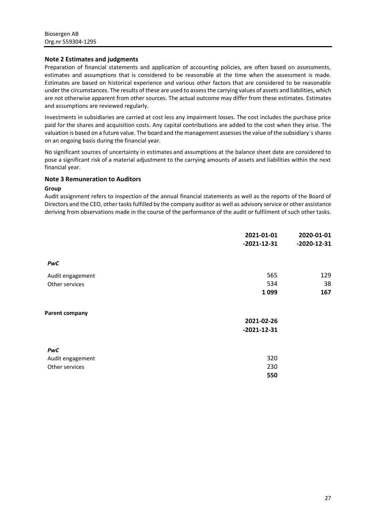### **Note 2 Estimates and judgments**

Preparation of financial statements and application of accounting policies, are often based on assessments, estimates and assumptions that is considered to be reasonable at the time when the assessment is made. Estimates are based on historical experience and various other factors that are considered to be reasonable under the circumstances. The results of these are used to assess the carrying values of assets and liabilities, which are not otherwise apparent from other sources. The actual outcome may differ from these estimates. Estimates and assumptions are reviewed regularly.

Investments in subsidiaries are carried at cost less any impairment losses. The cost includes the purchase price paid for the shares and acquisition costs. Any capital contributions are added to the cost when they arise. The valuation is based on a future value. The board and the management assesses the value of the subsidiary´s shares on an ongoing basis during the financial year.

No significant sources of uncertainty in estimates and assumptions at the balance sheet date are considered to pose a significant risk of a material adjustment to the carrying amounts of assets and liabilities within the next financial year.

### **Note 3 Remuneration to Auditors**

### **Group**

Audit assignment refers to inspection of the annual financial statements as well as the reports of the Board of Directors and the CEO, other tasks fulfilled by the company auditor as well as advisory service or other assistance deriving from observations made in the course of the performance of the audit or fulfilment of such other tasks.

|                       | 2021-01-01<br>$-2021-12-31$ | 2020-01-01<br>$-2020 - 12 - 31$ |
|-----------------------|-----------------------------|---------------------------------|
| PwC                   |                             |                                 |
| Audit engagement      | 565                         | 129                             |
| Other services        | 534                         | 38                              |
|                       | 1099                        | 167                             |
| <b>Parent company</b> |                             |                                 |
|                       | 2021-02-26                  |                                 |
|                       | $-2021 - 12 - 31$           |                                 |
| PwC                   |                             |                                 |
| Audit engagement      | 320                         |                                 |
| Other services        | 230                         |                                 |
|                       | 550                         |                                 |
|                       |                             |                                 |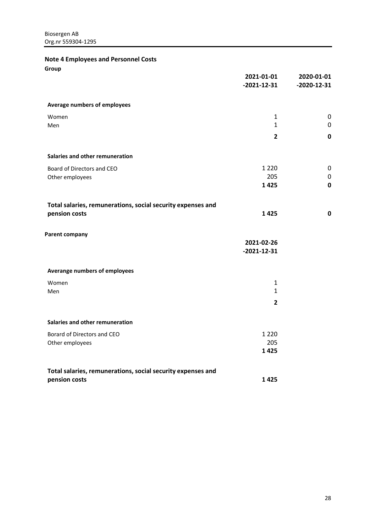**Note 4 Employees and Personnel Costs**

**Group**

|                                                             | 2021-01-01<br>$-2021 - 12 - 31$ | 2020-01-01<br>$-2020 - 12 - 31$ |
|-------------------------------------------------------------|---------------------------------|---------------------------------|
| <b>Average numbers of employees</b>                         |                                 |                                 |
| Women                                                       | 1                               | $\mathbf 0$                     |
| Men                                                         | $\mathbf{1}$                    | $\mathbf 0$                     |
|                                                             | $\overline{2}$                  | $\mathbf 0$                     |
| Salaries and other remuneration                             |                                 |                                 |
| Board of Directors and CEO                                  | 1 2 2 0                         | $\mathbf 0$                     |
| Other employees                                             | 205                             | $\mathbf 0$                     |
|                                                             | 1425                            | $\bf{0}$                        |
| Total salaries, remunerations, social security expenses and |                                 |                                 |
| pension costs                                               | 1425                            | $\mathbf 0$                     |
| <b>Parent company</b>                                       |                                 |                                 |
|                                                             | 2021-02-26                      |                                 |
|                                                             | $-2021-12-31$                   |                                 |
| Averange numbers of employees                               |                                 |                                 |
| Women                                                       | $\mathbf{1}$                    |                                 |
| Men                                                         | $\mathbf{1}$                    |                                 |
|                                                             | $\overline{2}$                  |                                 |
| Salaries and other remuneration                             |                                 |                                 |
| Borard of Directors and CEO                                 | 1 2 2 0                         |                                 |
| Other employees                                             | 205                             |                                 |
|                                                             | 1425                            |                                 |
| Total salaries, remunerations, social security expenses and |                                 |                                 |
| pension costs                                               | 1425                            |                                 |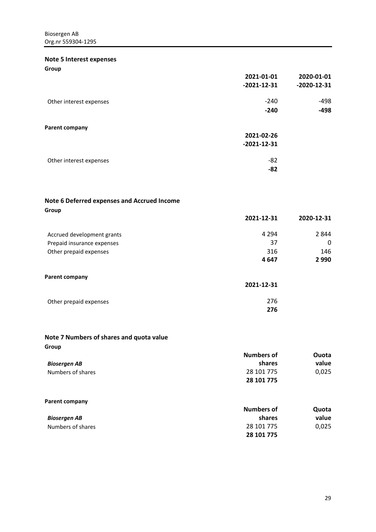### **Note 5 Interest expenses**

**Group**

|                         | 2021-01-01    | 2020-01-01        |
|-------------------------|---------------|-------------------|
|                         | $-2021-12-31$ | $-2020 - 12 - 31$ |
| Other interest expenses | $-240$        | $-498$            |
|                         | $-240$        | $-498$            |
| Parent company          |               |                   |
|                         | 2021-02-26    |                   |
|                         | $-2021-12-31$ |                   |
| Other interest expenses | $-82$         |                   |
|                         | $-82$         |                   |
|                         |               |                   |

### **Note 6 Deferred expenses and Accrued Income**

| Group                      |            |            |
|----------------------------|------------|------------|
|                            | 2021-12-31 | 2020-12-31 |
| Accrued development grants | 4 2 9 4    | 2844       |
| Prepaid insurance expenses | 37         | 0          |
| Other prepaid expenses     | 316        | 146        |
|                            | 4647       | 2 9 9 0    |
| <b>Parent company</b>      |            |            |
|                            | 2021-12-31 |            |
|                            |            |            |

# Other prepaid expenses **276**

## **Note 7 Numbers of shares and quota value**

| Group                 | <b>Numbers of</b> | Ouota |
|-----------------------|-------------------|-------|
| <b>Biosergen AB</b>   | shares            | value |
| Numbers of shares     | 28 101 775        | 0,025 |
|                       | 28 101 775        |       |
|                       |                   |       |
| <b>Parent company</b> |                   |       |

|                   | Numbers of | Quota |
|-------------------|------------|-------|
| Biosergen AB      | shares     | value |
| Numbers of shares | 28 101 775 | 0,025 |
|                   | 28 101 775 |       |

**276**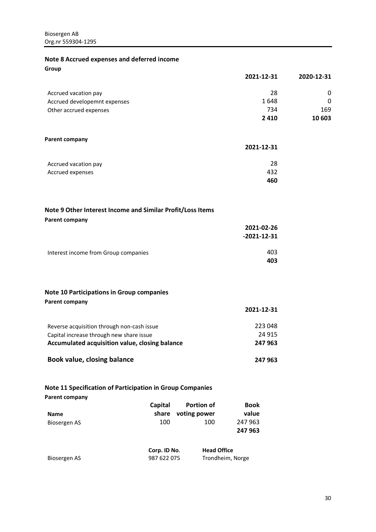### **Note 8 Accrued expenses and deferred income Group**

|                              | 2021-12-31 | 2020-12-31 |
|------------------------------|------------|------------|
| Accrued vacation pay         | 28         | 0          |
| Accrued developemnt expenses | 1648       | 0          |
| Other accrued expenses       | 734        | 169        |
|                              | 2410       | 10 603     |

### **Parent company**

|                      | 2021-12-31 |
|----------------------|------------|
| Accrued vacation pay | 28         |
| Accrued expenses     | 432        |
|                      | 460        |

## **Note 9 Other Interest Income and Similar Profit/Loss Items**

|  | <b>Parent company</b> |
|--|-----------------------|
|--|-----------------------|

| .                                    | 2021-02-26<br>$-2021 - 12 - 31$ |
|--------------------------------------|---------------------------------|
| Interest income from Group companies | 403<br>403                      |

### **Note 10 Participations in Group companies Parent company**

| Parent company                                 | 2021-12-31 |
|------------------------------------------------|------------|
| Reverse acquisition through non-cash issue     | 223 048    |
| Capital increase through new share issue       | 24 9 15    |
| Accumulated acquisition value, closing balance | 247 963    |
| Book value, closing balance                    | 247 963    |

# **Note 11 Specification of Participation in Group Companies**

|              | <b>Capital</b> | <b>Portion of</b>  | <b>Book</b> |
|--------------|----------------|--------------------|-------------|
| <b>Name</b>  |                | share voting power | value       |
| Biosergen AS | 100            | 100                | 247 963     |
|              |                |                    | 247 963     |

|              | Corp. ID No. | <b>Head Office</b> |
|--------------|--------------|--------------------|
| Biosergen AS | 987 622 075  | Trondheim, Norge   |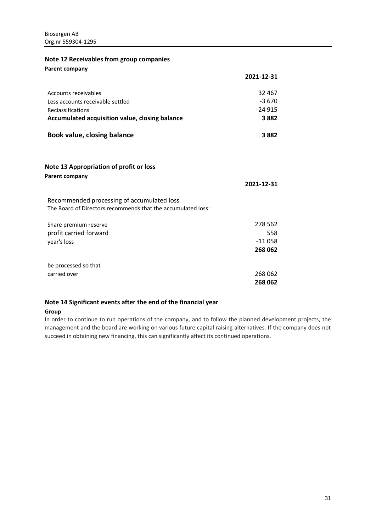### **Note 12 Receivables from group companies Parent company**

| r archt tompany                                                                                            | 2021-12-31 |
|------------------------------------------------------------------------------------------------------------|------------|
| Accounts receivables                                                                                       | 32 467     |
| Less accounts receivable settled                                                                           | $-3670$    |
| Reclassifications                                                                                          | $-24915$   |
| Accumulated acquisition value, closing balance                                                             | 3882       |
| Book value, closing balance                                                                                | 3882       |
| Note 13 Appropriation of profit or loss<br>Parent company                                                  |            |
|                                                                                                            | 2021-12-31 |
| Recommended processing of accumulated loss<br>The Board of Directors recommends that the accumulated loss: |            |
| Share premium reserve                                                                                      | 278 562    |
| profit carried forward                                                                                     | 558        |
| year's loss                                                                                                | $-11058$   |
|                                                                                                            | 268 062    |
| be processed so that                                                                                       |            |
| carried over                                                                                               | 268 062    |
|                                                                                                            | 268 062    |

### **Note 14 Significant events after the end of the financial year**

### **Group**

In order to continue to run operations of the company, and to follow the planned development projects, the management and the board are working on various future capital raising alternatives. If the company does not succeed in obtaining new financing, this can significantly affect its continued operations.